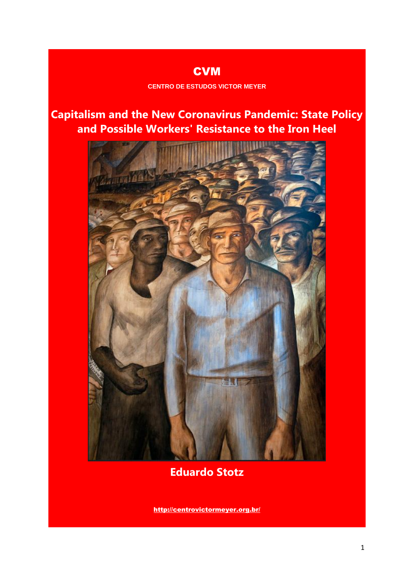# **CVM CENTRO DE ESTUDOS VICTOR MEYER**

# **Capitalism and the New Coronavirus Pandemic: State Policy and Possible Workers' Resistance to the Iron Heel**



**Eduardo Stotz**

<http://centrovictormeyer.org.br/>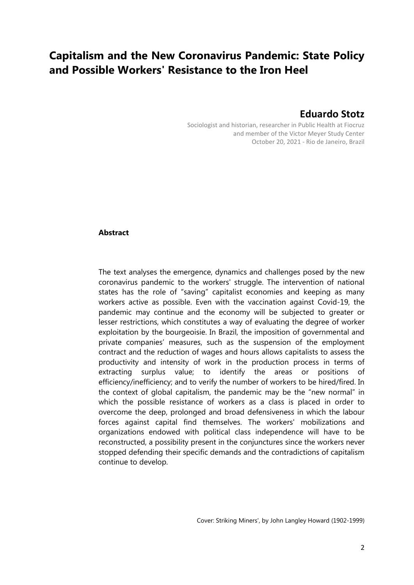# **Capitalism and the New Coronavirus Pandemic: State Policy and Possible Workers' Resistance to the Iron Heel**

# **Eduardo Stotz**

Sociologist and historian, researcher in Public Health at Fiocruz and member of the Victor Meyer Study Center October 20, 2021 - Rio de Janeiro, Brazil

# **Abstract**

The text analyses the emergence, dynamics and challenges posed by the new coronavirus pandemic to the workers' struggle. The intervention of national states has the role of "saving" capitalist economies and keeping as many workers active as possible. Even with the vaccination against Covid-19, the pandemic may continue and the economy will be subjected to greater or lesser restrictions, which constitutes a way of evaluating the degree of worker exploitation by the bourgeoisie. In Brazil, the imposition of governmental and private companies' measures, such as the suspension of the employment contract and the reduction of wages and hours allows capitalists to assess the productivity and intensity of work in the production process in terms of extracting surplus value; to identify the areas or positions of efficiency/inefficiency; and to verify the number of workers to be hired/fired. In the context of global capitalism, the pandemic may be the "new normal" in which the possible resistance of workers as a class is placed in order to overcome the deep, prolonged and broad defensiveness in which the labour forces against capital find themselves. The workers' mobilizations and organizations endowed with political class independence will have to be reconstructed, a possibility present in the conjunctures since the workers never stopped defending their specific demands and the contradictions of capitalism continue to develop.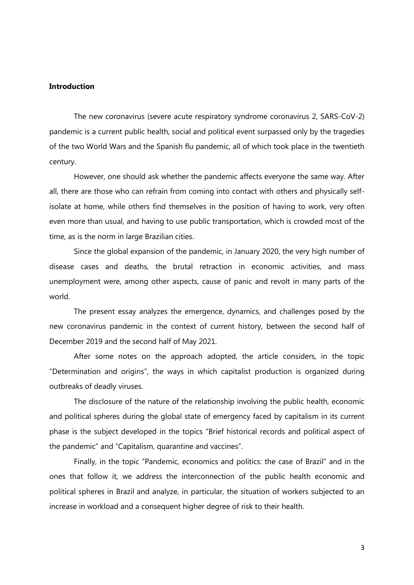# **Introduction**

The new coronavirus (severe acute respiratory syndrome coronavirus 2, SARS-CoV-2) pandemic is a current public health, social and political event surpassed only by the tragedies of the two World Wars and the Spanish flu pandemic, all of which took place in the twentieth century.

However, one should ask whether the pandemic affects everyone the same way. After all, there are those who can refrain from coming into contact with others and physically selfisolate at home, while others find themselves in the position of having to work, very often even more than usual, and having to use public transportation, which is crowded most of the time, as is the norm in large Brazilian cities.

Since the global expansion of the pandemic, in January 2020, the very high number of disease cases and deaths, the brutal retraction in economic activities, and mass unemployment were, among other aspects, cause of panic and revolt in many parts of the world.

The present essay analyzes the emergence, dynamics, and challenges posed by the new coronavirus pandemic in the context of current history, between the second half of December 2019 and the second half of May 2021.

After some notes on the approach adopted, the article considers, in the topic "Determination and origins", the ways in which capitalist production is organized during outbreaks of deadly viruses.

The disclosure of the nature of the relationship involving the public health, economic and political spheres during the global state of emergency faced by capitalism in its current phase is the subject developed in the topics "Brief historical records and political aspect of the pandemic" and "Capitalism, quarantine and vaccines".

Finally, in the topic "Pandemic, economics and politics: the case of Brazil" and in the ones that follow it, we address the interconnection of the public health economic and political spheres in Brazil and analyze, in particular, the situation of workers subjected to an increase in workload and a consequent higher degree of risk to their health.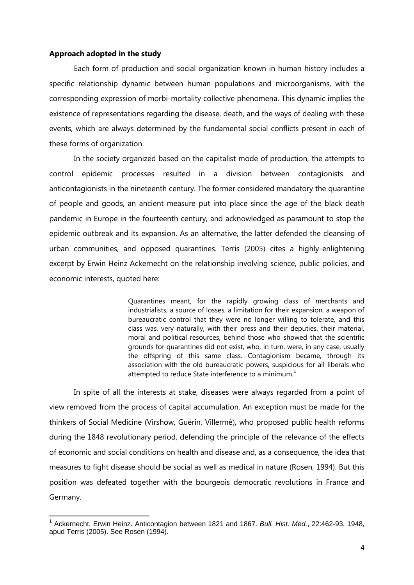# **Approach adopted in the study**

 $\overline{\phantom{a}}$ 

Each form of production and social organization known in human history includes a specific relationship dynamic between human populations and microorganisms, with the corresponding expression of morbi-mortality collective phenomena. This dynamic implies the existence of representations regarding the disease, death, and the ways of dealing with these events, which are always determined by the fundamental social conflicts present in each of these forms of organization.

In the society organized based on the capitalist mode of production, the attempts to control epidemic processes resulted in a division between contagionists and anticontagionists in the nineteenth century. The former considered mandatory the quarantine of people and goods, an ancient measure put into place since the age of the black death pandemic in Europe in the fourteenth century, and acknowledged as paramount to stop the epidemic outbreak and its expansion. As an alternative, the latter defended the cleansing of urban communities, and opposed quarantines. Terris (2005) cites a highly-enlightening excerpt by Erwin Heinz Ackernecht on the relationship involving science, public policies, and economic interests, quoted here:

> Quarantines meant, for the rapidly growing class of merchants and industrialists, a source of losses, a limitation for their expansion, a weapon of bureaucratic control that they were no longer willing to tolerate, and this class was, very naturally, with their press and their deputies, their material, moral and political resources, behind those who showed that the scientific grounds for quarantines did not exist, who, in turn, were, in any case, usually the offspring of this same class. Contagionism became, through its association with the old bureaucratic powers, suspicious for all liberals who attempted to reduce State interference to a minimum.<sup>1</sup>

In spite of all the interests at stake, diseases were always regarded from a point of view removed from the process of capital accumulation. An exception must be made for the thinkers of Social Medicine (Virshow, Guérin, Villermé), who proposed public health reforms during the 1848 revolutionary period, defending the principle of the relevance of the effects of economic and social conditions on health and disease and, as a consequence, the idea that measures to fight disease should be social as well as medical in nature (Rosen, 1994). But this position was defeated together with the bourgeois democratic revolutions in France and Germany.

<sup>1</sup> Ackernecht, Erwin Heinz. Anticontagion between 1821 and 1867. *Bull. Hist. Med.*, 22:462-93, 1948, apud Terris (2005). See Rosen (1994).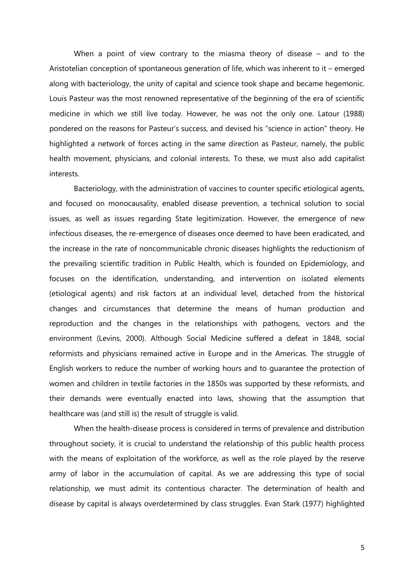When a point of view contrary to the miasma theory of disease – and to the Aristotelian conception of spontaneous generation of life, which was inherent to it – emerged along with bacteriology, the unity of capital and science took shape and became hegemonic. Louis Pasteur was the most renowned representative of the beginning of the era of scientific medicine in which we still live today. However, he was not the only one. Latour (1988) pondered on the reasons for Pasteur's success, and devised his "science in action" theory. He highlighted a network of forces acting in the same direction as Pasteur, namely, the public health movement, physicians, and colonial interests. To these, we must also add capitalist interests.

Bacteriology, with the administration of vaccines to counter specific etiological agents, and focused on monocausality, enabled disease prevention, a technical solution to social issues, as well as issues regarding State legitimization. However, the emergence of new infectious diseases, the re-emergence of diseases once deemed to have been eradicated, and the increase in the rate of noncommunicable chronic diseases highlights the reductionism of the prevailing scientific tradition in Public Health, which is founded on Epidemiology, and focuses on the identification, understanding, and intervention on isolated elements (etiological agents) and risk factors at an individual level, detached from the historical changes and circumstances that determine the means of human production and reproduction and the changes in the relationships with pathogens, vectors and the environment (Levins, 2000). Although Social Medicine suffered a defeat in 1848, social reformists and physicians remained active in Europe and in the Americas. The struggle of English workers to reduce the number of working hours and to guarantee the protection of women and children in textile factories in the 1850s was supported by these reformists, and their demands were eventually enacted into laws, showing that the assumption that healthcare was (and still is) the result of struggle is valid.

When the health-disease process is considered in terms of prevalence and distribution throughout society, it is crucial to understand the relationship of this public health process with the means of exploitation of the workforce, as well as the role played by the reserve army of labor in the accumulation of capital. As we are addressing this type of social relationship, we must admit its contentious character. The determination of health and disease by capital is always overdetermined by class struggles. Evan Stark (1977) highlighted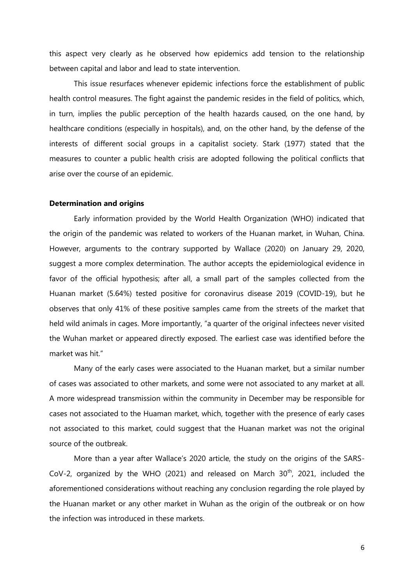this aspect very clearly as he observed how epidemics add tension to the relationship between capital and labor and lead to state intervention.

This issue resurfaces whenever epidemic infections force the establishment of public health control measures. The fight against the pandemic resides in the field of politics, which, in turn, implies the public perception of the health hazards caused, on the one hand, by healthcare conditions (especially in hospitals), and, on the other hand, by the defense of the interests of different social groups in a capitalist society. Stark (1977) stated that the measures to counter a public health crisis are adopted following the political conflicts that arise over the course of an epidemic.

# **Determination and origins**

Early information provided by the World Health Organization (WHO) indicated that the origin of the pandemic was related to workers of the Huanan market, in Wuhan, China. However, arguments to the contrary supported by Wallace (2020) on January 29, 2020, suggest a more complex determination. The author accepts the epidemiological evidence in favor of the official hypothesis; after all, a small part of the samples collected from the Huanan market (5.64%) tested positive for coronavirus disease 2019 (COVID-19), but he observes that only 41% of these positive samples came from the streets of the market that held wild animals in cages. More importantly, "a quarter of the original infectees never visited the Wuhan market or appeared directly exposed. The earliest case was identified before the market was hit."

Many of the early cases were associated to the Huanan market, but a similar number of cases was associated to other markets, and some were not associated to any market at all. A more widespread transmission within the community in December may be responsible for cases not associated to the Huaman market, which, together with the presence of early cases not associated to this market, could suggest that the Huanan market was not the original source of the outbreak.

More than a year after Wallace's 2020 article, the study on the origins of the SARS-CoV-2, organized by the WHO (2021) and released on March  $30<sup>th</sup>$ , 2021, included the aforementioned considerations without reaching any conclusion regarding the role played by the Huanan market or any other market in Wuhan as the origin of the outbreak or on how the infection was introduced in these markets.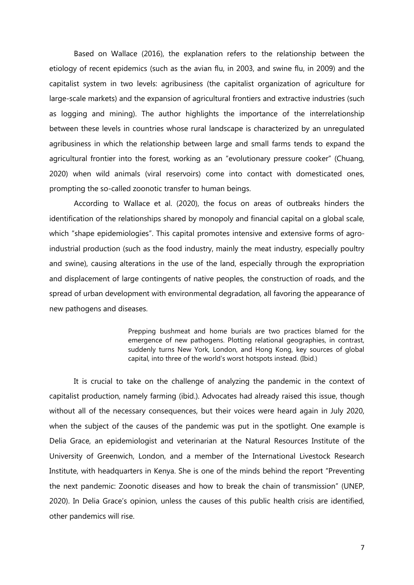Based on Wallace (2016), the explanation refers to the relationship between the etiology of recent epidemics (such as the avian flu, in 2003, and swine flu, in 2009) and the capitalist system in two levels: agribusiness (the capitalist organization of agriculture for large-scale markets) and the expansion of agricultural frontiers and extractive industries (such as logging and mining). The author highlights the importance of the interrelationship between these levels in countries whose rural landscape is characterized by an unregulated agribusiness in which the relationship between large and small farms tends to expand the agricultural frontier into the forest, working as an "evolutionary pressure cooker" (Chuang, 2020) when wild animals (viral reservoirs) come into contact with domesticated ones, prompting the so-called zoonotic transfer to human beings.

According to Wallace et al. (2020), the focus on areas of outbreaks hinders the identification of the relationships shared by monopoly and financial capital on a global scale, which "shape epidemiologies". This capital promotes intensive and extensive forms of agroindustrial production (such as the food industry, mainly the meat industry, especially poultry and swine), causing alterations in the use of the land, especially through the expropriation and displacement of large contingents of native peoples, the construction of roads, and the spread of urban development with environmental degradation, all favoring the appearance of new pathogens and diseases.

> Prepping bushmeat and home burials are two practices blamed for the emergence of new pathogens. Plotting relational geographies, in contrast, suddenly turns New York, London, and Hong Kong, key sources of global capital, into three of the world's worst hotspots instead. (Ibid.)

It is crucial to take on the challenge of analyzing the pandemic in the context of capitalist production, namely farming (ibid.). Advocates had already raised this issue, though without all of the necessary consequences, but their voices were heard again in July 2020, when the subject of the causes of the pandemic was put in the spotlight. One example is Delia Grace, an epidemiologist and veterinarian at the Natural Resources Institute of the University of Greenwich, London, and a member of the International Livestock Research Institute, with headquarters in Kenya. She is one of the minds behind the report "Preventing the next pandemic: Zoonotic diseases and how to break the chain of transmission" (UNEP, 2020). In Delia Grace's opinion, unless the causes of this public health crisis are identified, other pandemics will rise.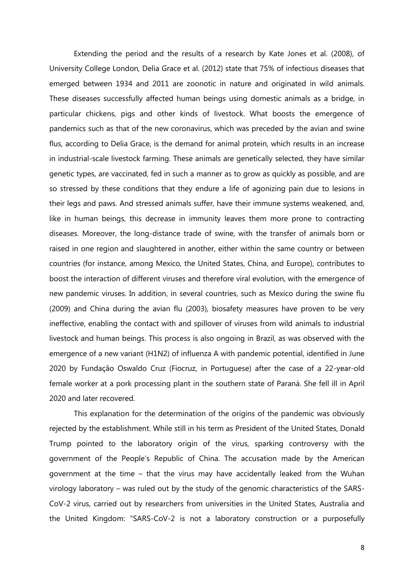Extending the period and the results of a research by Kate Jones et al. (2008), of University College London, Delia Grace et al. (2012) state that 75% of infectious diseases that emerged between 1934 and 2011 are zoonotic in nature and originated in wild animals. These diseases successfully affected human beings using domestic animals as a bridge, in particular chickens, pigs and other kinds of livestock. What boosts the emergence of pandemics such as that of the new coronavirus, which was preceded by the avian and swine flus, according to Delia Grace, is the demand for animal protein, which results in an increase in industrial-scale livestock farming. These animals are genetically selected, they have similar genetic types, are vaccinated, fed in such a manner as to grow as quickly as possible, and are so stressed by these conditions that they endure a life of agonizing pain due to lesions in their legs and paws. And stressed animals suffer, have their immune systems weakened, and, like in human beings, this decrease in immunity leaves them more prone to contracting diseases. Moreover, the long-distance trade of swine, with the transfer of animals born or raised in one region and slaughtered in another, either within the same country or between countries (for instance, among Mexico, the United States, China, and Europe), contributes to boost the interaction of different viruses and therefore viral evolution, with the emergence of new pandemic viruses. In addition, in several countries, such as Mexico during the swine flu (2009) and China during the avian flu (2003), biosafety measures have proven to be very ineffective, enabling the contact with and spillover of viruses from wild animals to industrial livestock and human beings. This process is also ongoing in Brazil, as was observed with the emergence of a new variant (H1N2) of influenza A with pandemic potential, identified in June 2020 by Fundação Oswaldo Cruz (Fiocruz, in Portuguese) after the case of a 22-year-old female worker at a pork processing plant in the southern state of Paraná. She fell ill in April 2020 and later recovered.

This explanation for the determination of the origins of the pandemic was obviously rejected by the establishment. While still in his term as President of the United States, Donald Trump pointed to the laboratory origin of the virus, sparking controversy with the government of the People's Republic of China. The accusation made by the American government at the time – that the virus may have accidentally leaked from the Wuhan virology laboratory – was ruled out by the study of the genomic characteristics of the SARS-CoV-2 virus, carried out by researchers from universities in the United States, Australia and the United Kingdom: "SARS-CoV-2 is not a laboratory construction or a purposefully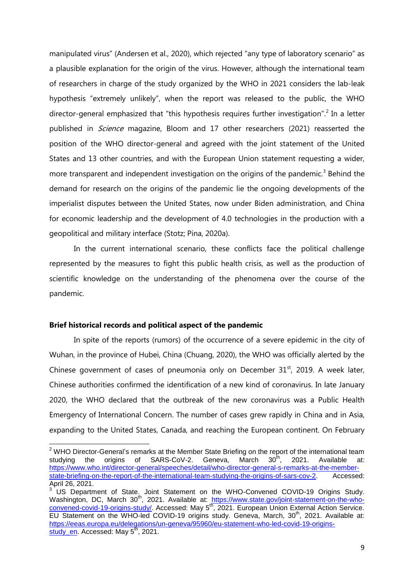manipulated virus" (Andersen et al., 2020), which rejected "any type of laboratory scenario" as a plausible explanation for the origin of the virus. However, although the international team of researchers in charge of the study organized by the WHO in 2021 considers the lab-leak hypothesis "extremely unlikely", when the report was released to the public, the WHO director-general emphasized that "this hypothesis requires further investigation".<sup>2</sup> In a letter published in *Science* magazine, Bloom and 17 other researchers (2021) reasserted the position of the WHO director-general and agreed with the joint statement of the United States and 13 other countries, and with the European Union statement requesting a wider, more transparent and independent investigation on the origins of the pandemic.<sup>3</sup> Behind the demand for research on the origins of the pandemic lie the ongoing developments of the imperialist disputes between the United States, now under Biden administration, and China for economic leadership and the development of 4.0 technologies in the production with a geopolitical and military interface (Stotz; Pina, 2020a).

In the current international scenario, these conflicts face the political challenge represented by the measures to fight this public health crisis, as well as the production of scientific knowledge on the understanding of the phenomena over the course of the pandemic.

# **Brief historical records and political aspect of the pandemic**

 $\overline{\phantom{a}}$ 

In spite of the reports (rumors) of the occurrence of a severe epidemic in the city of Wuhan, in the province of Hubei, China (Chuang, 2020), the WHO was officially alerted by the Chinese government of cases of pneumonia only on December  $31<sup>st</sup>$ , 2019. A week later, Chinese authorities confirmed the identification of a new kind of coronavirus. In late January 2020, the WHO declared that the outbreak of the new coronavirus was a Public Health Emergency of International Concern. The number of cases grew rapidly in China and in Asia, expanding to the United States, Canada, and reaching the European continent. On February

<sup>&</sup>lt;sup>2</sup> WHO Director-General's remarks at the Member State Briefing on the report of the international team<br>studying the origins of SARS-CoV-2. Geneva, March 30<sup>th</sup>, 2021. Available at: studying the origins of SARS-CoV-2. Geneva, March , 2021. Available at: https://www.who.int/director-general/speeches/detail/who-director-general-s-remarks-at-the-memberstate-briefing-on-the-report-of-the-international-team-studying-the-origins-of-sars-cov-2. Accessed: April 26, 2021.

 $3$  US Department of State. Joint Statement on the WHO-Convened COVID-19 Origins Study. Washington, DC, March 30<sup>th</sup>, 2021. Available at: https://www.state.gov/joint-statement-on-the-whoconvened-covid-19-origins-study/. Accessed: May 5<sup>th</sup>, 2021. European Union External Action Service. EU Statement on the WHO-led COVID-19 origins study. Geneva, March,  $30<sup>th</sup>$ , 2021. Available at: https://eeas.europa.eu/delegations/un-geneva/95960/eu-statement-who-led-covid-19-originsstudy en. Accessed: May  $5<sup>th</sup>$ , 2021.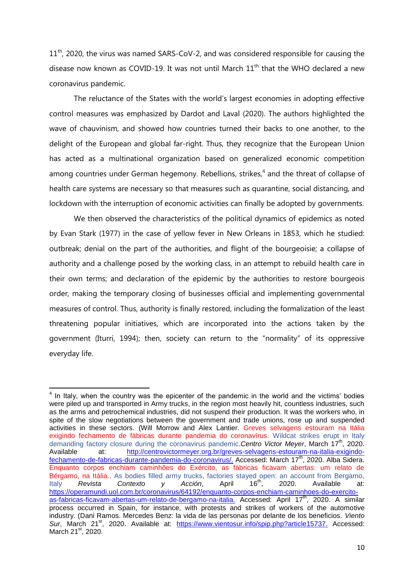11<sup>th</sup>, 2020, the virus was named SARS-CoV-2, and was considered responsible for causing the disease now known as COVID-19. It was not until March  $11<sup>th</sup>$  that the WHO declared a new coronavirus pandemic.

The reluctance of the States with the world's largest economies in adopting effective control measures was emphasized by Dardot and Laval (2020). The authors highlighted the wave of chauvinism, and showed how countries turned their backs to one another, to the delight of the European and global far-right. Thus, they recognize that the European Union has acted as a multinational organization based on generalized economic competition among countries under German hegemony. Rebellions, strikes,<sup>4</sup> and the threat of collapse of health care systems are necessary so that measures such as quarantine, social distancing, and lockdown with the interruption of economic activities can finally be adopted by governments.

We then observed the characteristics of the political dynamics of epidemics as noted by Evan Stark (1977) in the case of yellow fever in New Orleans in 1853, which he studied: outbreak; denial on the part of the authorities, and flight of the bourgeoisie; a collapse of authority and a challenge posed by the working class, in an attempt to rebuild health care in their own terms; and declaration of the epidemic by the authorities to restore bourgeois order, making the temporary closing of businesses official and implementing governmental measures of control. Thus, authority is finally restored, including the formalization of the least threatening popular initiatives, which are incorporated into the actions taken by the government (Iturri, 1994); then, society can return to the "normality" of its oppressive everyday life.

 $\overline{\phantom{a}}$  $4$  In Italy, when the country was the epicenter of the pandemic in the world and the victims' bodies were piled up and transported in Army trucks, in the region most heavily hit, countless industries, such as the arms and petrochemical industries, did not suspend their production. It was the workers who, in spite of the slow negotiations between the government and trade unions, rose up and suspended activities in these sectors. (Will Morrow and Alex Lantier. Greves selvagens estouram na Itália exigindo fechamento de fábricas durante pandemia do coronavírus. Wildcat strikes erupt in Italy demanding factory closure during the coronavirus pandemic. Centro Victor Meyer, March 17<sup>th</sup>, 2020. Available at: [http://centrovictormeyer.org.br/greves-selvagens-estouram-na-italia-exigindo](http://centrovictormeyer.org.br/greves-selvagens-estouram-na-italia-exigindo-fechamento-de-fabricas-durante-pandemia-do-coronavirus/)[fechamento-de-fabricas-durante-pandemia-do-coronavirus/.](http://centrovictormeyer.org.br/greves-selvagens-estouram-na-italia-exigindo-fechamento-de-fabricas-durante-pandemia-do-coronavirus/) Accessed: March 17<sup>th</sup>, 2020. Alba Sidera. Enquanto corpos enchiam caminhões do Exército, as fábricas ficavam abertas: um relato de Bérgamo, na Itália.. As bodies filled army trucks, factories stayed open: an account from Bergamo,<br>Italy Revista Contexto y Acción, April 16<sup>th</sup>, 2020. Available at: Italy *Revista Contexto y Acción*, April 16th, 2020. Available at: [https://operamundi.uol.com.br/coronavirus/64192/enquanto-corpos-enchiam-caminhoes-do-exercito](https://operamundi.uol.com.br/coronavirus/64192/enquanto-corpos-enchiam-caminhoes-do-exercito-as-fabricas-ficavam-abertas-um-relato-de-bergamo-na-italia)[as-fabricas-ficavam-abertas-um-relato-de-bergamo-na-italia.](https://operamundi.uol.com.br/coronavirus/64192/enquanto-corpos-enchiam-caminhoes-do-exercito-as-fabricas-ficavam-abertas-um-relato-de-bergamo-na-italia) Accessed: April 17<sup>th</sup>, 2020. A similar process occurred in Spain, for instance, with protests and strikes of workers of the automotive industry. (Dani Ramos. Mercedes Benz: la vida de las personas por delante de los beneficios. *Viento*  Sur, March 21<sup>st</sup>, 2020. Available at: [https://www.vientosur.info/spip.php?article15737.](https://www.vientosur.info/spip.php?article15737) Accessed: March 21st, 2020.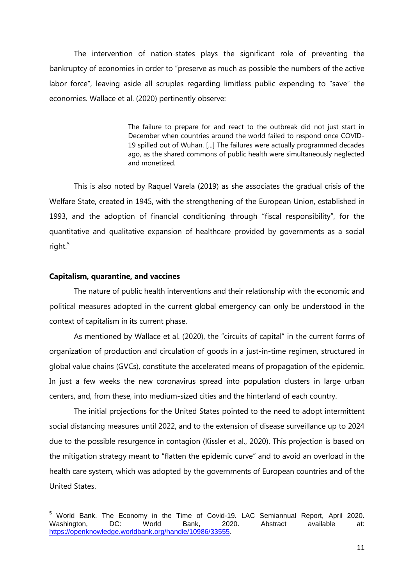The intervention of nation-states plays the significant role of preventing the bankruptcy of economies in order to "preserve as much as possible the numbers of the active labor force", leaving aside all scruples regarding limitless public expending to "save" the economies. Wallace et al. (2020) pertinently observe:

> The failure to prepare for and react to the outbreak did not just start in December when countries around the world failed to respond once COVID-19 spilled out of Wuhan. [...] The failures were actually programmed decades ago, as the shared commons of public health were simultaneously neglected and monetized.

This is also noted by Raquel Varela (2019) as she associates the gradual crisis of the Welfare State, created in 1945, with the strengthening of the European Union, established in 1993, and the adoption of financial conditioning through "fiscal responsibility", for the quantitative and qualitative expansion of healthcare provided by governments as a social right. $5$ 

# **Capitalism, quarantine, and vaccines**

 $\overline{a}$ 

The nature of public health interventions and their relationship with the economic and political measures adopted in the current global emergency can only be understood in the context of capitalism in its current phase.

As mentioned by Wallace et al. (2020), the "circuits of capital" in the current forms of organization of production and circulation of goods in a just-in-time regimen, structured in global value chains (GVCs), constitute the accelerated means of propagation of the epidemic. In just a few weeks the new coronavirus spread into population clusters in large urban centers, and, from these, into medium-sized cities and the hinterland of each country.

The initial projections for the United States pointed to the need to adopt intermittent social distancing measures until 2022, and to the extension of disease surveillance up to 2024 due to the possible resurgence in contagion (Kissler et al., 2020). This projection is based on the mitigation strategy meant to "flatten the epidemic curve" and to avoid an overload in the health care system, which was adopted by the governments of European countries and of the United States.

World Bank. The Economy in the Time of Covid-19. LAC Semiannual Report, April 2020.<br>
Vashington, CD: World Bank, 2020. Abstract available at: Washington, DC: World Bank, 2020. Abstract available at: [https://openknowledge.worldbank.org/handle/10986/33555.](https://openknowledge.worldbank.org/handle/10986/33555)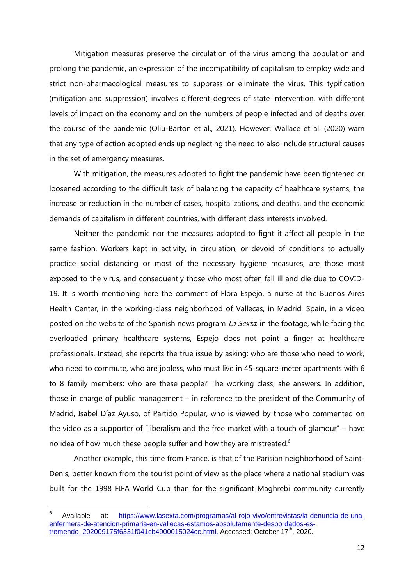Mitigation measures preserve the circulation of the virus among the population and prolong the pandemic, an expression of the incompatibility of capitalism to employ wide and strict non-pharmacological measures to suppress or eliminate the virus. This typification (mitigation and suppression) involves different degrees of state intervention, with different levels of impact on the economy and on the numbers of people infected and of deaths over the course of the pandemic (Oliu-Barton et al., 2021). However, Wallace et al. (2020) warn that any type of action adopted ends up neglecting the need to also include structural causes in the set of emergency measures.

With mitigation, the measures adopted to fight the pandemic have been tightened or loosened according to the difficult task of balancing the capacity of healthcare systems, the increase or reduction in the number of cases, hospitalizations, and deaths, and the economic demands of capitalism in different countries, with different class interests involved.

Neither the pandemic nor the measures adopted to fight it affect all people in the same fashion. Workers kept in activity, in circulation, or devoid of conditions to actually practice social distancing or most of the necessary hygiene measures, are those most exposed to the virus, and consequently those who most often fall ill and die due to COVID-19. It is worth mentioning here the comment of Flora Espejo, a nurse at the Buenos Aires Health Center, in the working-class neighborhood of Vallecas, in Madrid, Spain, in a video posted on the website of the Spanish news program La Sexta: in the footage, while facing the overloaded primary healthcare systems, Espejo does not point a finger at healthcare professionals. Instead, she reports the true issue by asking: who are those who need to work, who need to commute, who are jobless, who must live in 45-square-meter apartments with 6 to 8 family members: who are these people? The working class, she answers. In addition, those in charge of public management – in reference to the president of the Community of Madrid, Isabel Díaz Ayuso, of Partido Popular, who is viewed by those who commented on the video as a supporter of "liberalism and the free market with a touch of glamour" – have no idea of how much these people suffer and how they are mistreated. $6$ 

Another example, this time from France, is that of the Parisian neighborhood of Saint-Denis, better known from the tourist point of view as the place where a national stadium was built for the 1998 FIFA World Cup than for the significant Maghrebi community currently

 $\overline{a}$ 

<sup>6</sup> Available at: https://www.lasexta.com/programas/al-rojo-vivo/entrevistas/la-denuncia-de-unaenfermera-de-atencion-primaria-en-vallecas-estamos-absolutamente-desbordados-es $t$ remendo\_202009175f6331f041cb4900015024cc.html. Accessed: October 17<sup>th</sup>, 2020.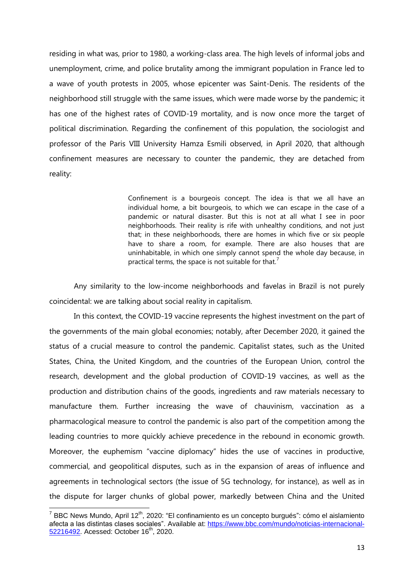residing in what was, prior to 1980, a working-class area. The high levels of informal jobs and unemployment, crime, and police brutality among the immigrant population in France led to a wave of youth protests in 2005, whose epicenter was Saint-Denis. The residents of the neighborhood still struggle with the same issues, which were made worse by the pandemic; it has one of the highest rates of COVID-19 mortality, and is now once more the target of political discrimination. Regarding the confinement of this population, the sociologist and professor of the Paris VIII University Hamza Esmili observed, in April 2020, that although confinement measures are necessary to counter the pandemic, they are detached from reality:

> Confinement is a bourgeois concept. The idea is that we all have an individual home, a bit bourgeois, to which we can escape in the case of a pandemic or natural disaster. But this is not at all what I see in poor neighborhoods. Their reality is rife with unhealthy conditions, and not just that; in these neighborhoods, there are homes in which five or six people have to share a room, for example. There are also houses that are uninhabitable, in which one simply cannot spend the whole day because, in practical terms, the space is not suitable for that.<sup>7</sup>

Any similarity to the low-income neighborhoods and favelas in Brazil is not purely coincidental: we are talking about social reality in capitalism.

In this context, the COVID-19 vaccine represents the highest investment on the part of the governments of the main global economies; notably, after December 2020, it gained the status of a crucial measure to control the pandemic. Capitalist states, such as the United States, China, the United Kingdom, and the countries of the European Union, control the research, development and the global production of COVID-19 vaccines, as well as the production and distribution chains of the goods, ingredients and raw materials necessary to manufacture them. Further increasing the wave of chauvinism, vaccination as a pharmacological measure to control the pandemic is also part of the competition among the leading countries to more quickly achieve precedence in the rebound in economic growth. Moreover, the euphemism "vaccine diplomacy" hides the use of vaccines in productive, commercial, and geopolitical disputes, such as in the expansion of areas of influence and agreements in technological sectors (the issue of 5G technology, for instance), as well as in the dispute for larger chunks of global power, markedly between China and the United

 $\overline{a}$ 

<sup>&</sup>lt;sup>7</sup> BBC News Mundo, April 12<sup>th</sup>, 2020: "El confinamiento es un concepto burgués": cómo el aislamiento afecta a las distintas clases sociales". Available at: https://www.bbc.com/mundo/noticias-internacional-52216492. Acessed: October 16<sup>th</sup>, 2020.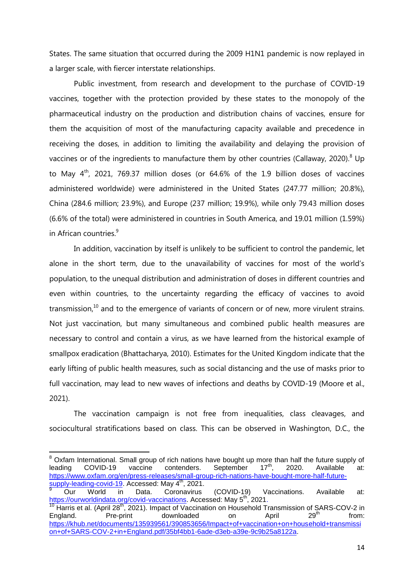States. The same situation that occurred during the 2009 H1N1 pandemic is now replayed in a larger scale, with fiercer interstate relationships.

Public investment, from research and development to the purchase of COVID-19 vaccines, together with the protection provided by these states to the monopoly of the pharmaceutical industry on the production and distribution chains of vaccines, ensure for them the acquisition of most of the manufacturing capacity available and precedence in receiving the doses, in addition to limiting the availability and delaying the provision of vaccines or of the ingredients to manufacture them by other countries (Callaway, 2020). $8$  Up to Mav  $4^{\text{th}}$ , 2021, 769.37 million doses (or 64.6% of the 1.9 billion doses of vaccines administered worldwide) were administered in the United States (247.77 million; 20.8%), China (284.6 million; 23.9%), and Europe (237 million; 19.9%), while only 79.43 million doses (6.6% of the total) were administered in countries in South America, and 19.01 million (1.59%) in African countries.<sup>9</sup>

In addition, vaccination by itself is unlikely to be sufficient to control the pandemic, let alone in the short term, due to the unavailability of vaccines for most of the world's population, to the unequal distribution and administration of doses in different countries and even within countries, to the uncertainty regarding the efficacy of vaccines to avoid transmission, $10$  and to the emergence of variants of concern or of new, more virulent strains. Not just vaccination, but many simultaneous and combined public health measures are necessary to control and contain a virus, as we have learned from the historical example of smallpox eradication (Bhattacharya, 2010). Estimates for the United Kingdom indicate that the early lifting of public health measures, such as social distancing and the use of masks prior to full vaccination, may lead to new waves of infections and deaths by COVID-19 (Moore et al., 2021).

The vaccination campaign is not free from inequalities, class cleavages, and sociocultural stratifications based on class. This can be observed in Washington, D.C., the

l

 $8$  Oxfam International. Small group of rich nations have bought up more than half the future supply of leading COVID-19 vaccine contenders. September 17<sup>th</sup> , 2020. Available at: https://www.oxfam.org/en/press-releases/small-group-rich-nations-have-bought-more-half-futuresupply-leading-covid-19. Accessed: May 4<sup>th</sup>, 2021.

<sup>9</sup> Our World in Data. Coronavirus (COVID-19) Vaccinations. Available at: https://ourworldindata.org/covid-vaccinations. Accessed: May 5<sup>th</sup>, 2021.

<sup>&</sup>lt;sup>10</sup> Harris et al. (April 28<sup>th</sup>, 2021). Impact of Vaccination on Household Transmission of SARS-COV-2 in England. Pre-print downloaded on April 29<sup>th</sup> from:  $d$ ownloaded on April  $29<sup>th</sup>$  from: https://khub.net/documents/135939561/390853656/Impact+of+vaccination+on+household+transmissi on+of+SARS-COV-2+in+England.pdf/35bf4bb1-6ade-d3eb-a39e-9c9b25a8122a.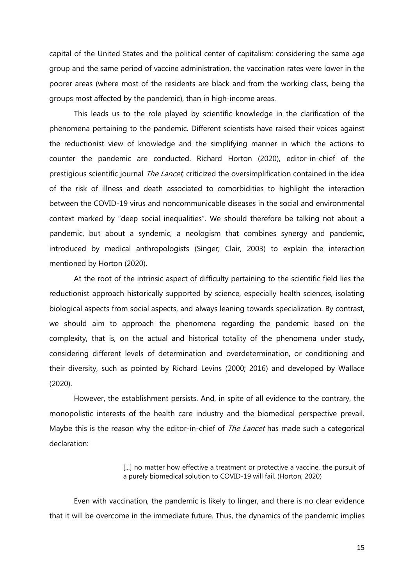capital of the United States and the political center of capitalism: considering the same age group and the same period of vaccine administration, the vaccination rates were lower in the poorer areas (where most of the residents are black and from the working class, being the groups most affected by the pandemic), than in high-income areas.

This leads us to the role played by scientific knowledge in the clarification of the phenomena pertaining to the pandemic. Different scientists have raised their voices against the reductionist view of knowledge and the simplifying manner in which the actions to counter the pandemic are conducted. Richard Horton (2020), editor-in-chief of the prestigious scientific journal *The Lancet*, criticized the oversimplification contained in the idea of the risk of illness and death associated to comorbidities to highlight the interaction between the COVID-19 virus and noncommunicable diseases in the social and environmental context marked by "deep social inequalities". We should therefore be talking not about a pandemic, but about a syndemic, a neologism that combines synergy and pandemic, introduced by medical anthropologists (Singer; Clair, 2003) to explain the interaction mentioned by Horton (2020).

At the root of the intrinsic aspect of difficulty pertaining to the scientific field lies the reductionist approach historically supported by science, especially health sciences, isolating biological aspects from social aspects, and always leaning towards specialization. By contrast, we should aim to approach the phenomena regarding the pandemic based on the complexity, that is, on the actual and historical totality of the phenomena under study, considering different levels of determination and overdetermination, or conditioning and their diversity, such as pointed by Richard Levins (2000; 2016) and developed by Wallace (2020).

However, the establishment persists. And, in spite of all evidence to the contrary, the monopolistic interests of the health care industry and the biomedical perspective prevail. Maybe this is the reason why the editor-in-chief of *The Lancet* has made such a categorical declaration:

> [...] no matter how effective a treatment or protective a vaccine, the pursuit of a purely biomedical solution to COVID-19 will fail. (Horton, 2020)

Even with vaccination, the pandemic is likely to linger, and there is no clear evidence that it will be overcome in the immediate future. Thus, the dynamics of the pandemic implies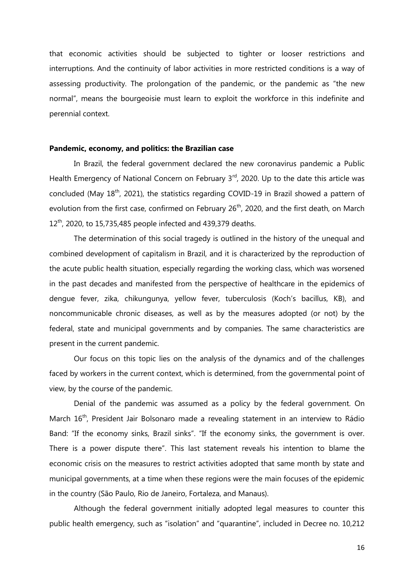that economic activities should be subjected to tighter or looser restrictions and interruptions. And the continuity of labor activities in more restricted conditions is a way of assessing productivity. The prolongation of the pandemic, or the pandemic as "the new normal", means the bourgeoisie must learn to exploit the workforce in this indefinite and perennial context.

# **Pandemic, economy, and politics: the Brazilian case**

In Brazil, the federal government declared the new coronavirus pandemic a Public Health Emergency of National Concern on February  $3<sup>rd</sup>$ , 2020. Up to the date this article was concluded (May  $18<sup>th</sup>$ , 2021), the statistics regarding COVID-19 in Brazil showed a pattern of evolution from the first case, confirmed on February 26<sup>th</sup>, 2020, and the first death, on March  $12^{th}$ , 2020, to 15,735,485 people infected and 439,379 deaths.

The determination of this social tragedy is outlined in the history of the unequal and combined development of capitalism in Brazil, and it is characterized by the reproduction of the acute public health situation, especially regarding the working class, which was worsened in the past decades and manifested from the perspective of healthcare in the epidemics of dengue fever, zika, chikungunya, yellow fever, tuberculosis (Koch's bacillus, KB), and noncommunicable chronic diseases, as well as by the measures adopted (or not) by the federal, state and municipal governments and by companies. The same characteristics are present in the current pandemic.

Our focus on this topic lies on the analysis of the dynamics and of the challenges faced by workers in the current context, which is determined, from the governmental point of view, by the course of the pandemic.

Denial of the pandemic was assumed as a policy by the federal government. On March 16<sup>th</sup>, President Jair Bolsonaro made a revealing statement in an interview to Rádio Band: "If the economy sinks, Brazil sinks". "If the economy sinks, the government is over. There is a power dispute there". This last statement reveals his intention to blame the economic crisis on the measures to restrict activities adopted that same month by state and municipal governments, at a time when these regions were the main focuses of the epidemic in the country (São Paulo, Rio de Janeiro, Fortaleza, and Manaus).

Although the federal government initially adopted legal measures to counter this public health emergency, such as "isolation" and "quarantine", included in Decree no. 10,212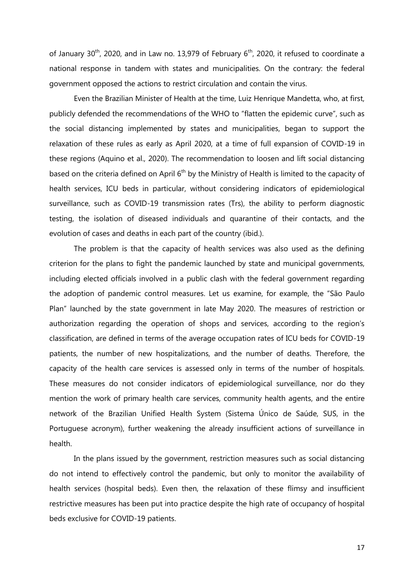of January 30<sup>th</sup>, 2020, and in Law no. 13,979 of February  $6<sup>th</sup>$ , 2020, it refused to coordinate a national response in tandem with states and municipalities. On the contrary: the federal government opposed the actions to restrict circulation and contain the virus.

Even the Brazilian Minister of Health at the time, Luiz Henrique Mandetta, who, at first, publicly defended the recommendations of the WHO to "flatten the epidemic curve", such as the social distancing implemented by states and municipalities, began to support the relaxation of these rules as early as April 2020, at a time of full expansion of COVID-19 in these regions (Aquino et al., 2020). The recommendation to loosen and lift social distancing based on the criteria defined on April 6<sup>th</sup> by the Ministry of Health is limited to the capacity of health services, ICU beds in particular, without considering indicators of epidemiological surveillance, such as COVID-19 transmission rates (Trs), the ability to perform diagnostic testing, the isolation of diseased individuals and quarantine of their contacts, and the evolution of cases and deaths in each part of the country (ibid.).

The problem is that the capacity of health services was also used as the defining criterion for the plans to fight the pandemic launched by state and municipal governments, including elected officials involved in a public clash with the federal government regarding the adoption of pandemic control measures. Let us examine, for example, the "São Paulo Plan" launched by the state government in late May 2020. The measures of restriction or authorization regarding the operation of shops and services, according to the region's classification, are defined in terms of the average occupation rates of ICU beds for COVID-19 patients, the number of new hospitalizations, and the number of deaths. Therefore, the capacity of the health care services is assessed only in terms of the number of hospitals. These measures do not consider indicators of epidemiological surveillance, nor do they mention the work of primary health care services, community health agents, and the entire network of the Brazilian Unified Health System (Sistema Único de Saúde, SUS, in the Portuguese acronym), further weakening the already insufficient actions of surveillance in health.

In the plans issued by the government, restriction measures such as social distancing do not intend to effectively control the pandemic, but only to monitor the availability of health services (hospital beds). Even then, the relaxation of these flimsy and insufficient restrictive measures has been put into practice despite the high rate of occupancy of hospital beds exclusive for COVID-19 patients.

17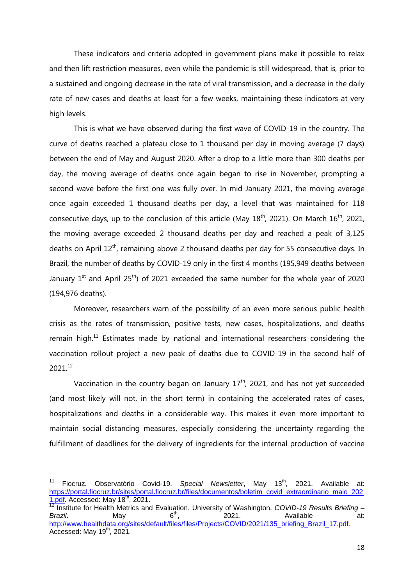These indicators and criteria adopted in government plans make it possible to relax and then lift restriction measures, even while the pandemic is still widespread, that is, prior to a sustained and ongoing decrease in the rate of viral transmission, and a decrease in the daily rate of new cases and deaths at least for a few weeks, maintaining these indicators at very high levels.

This is what we have observed during the first wave of COVID-19 in the country. The curve of deaths reached a plateau close to 1 thousand per day in moving average (7 days) between the end of May and August 2020. After a drop to a little more than 300 deaths per day, the moving average of deaths once again began to rise in November, prompting a second wave before the first one was fully over. In mid-January 2021, the moving average once again exceeded 1 thousand deaths per day, a level that was maintained for 118 consecutive days, up to the conclusion of this article (May  $18<sup>th</sup>$ , 2021). On March  $16<sup>th</sup>$ , 2021, the moving average exceeded 2 thousand deaths per day and reached a peak of 3,125 deaths on April  $12<sup>th</sup>$ , remaining above 2 thousand deaths per day for 55 consecutive days. In Brazil, the number of deaths by COVID-19 only in the first 4 months (195,949 deaths between January  $1^{st}$  and April 25<sup>th</sup>) of 2021 exceeded the same number for the whole year of 2020 (194,976 deaths).

Moreover, researchers warn of the possibility of an even more serious public health crisis as the rates of transmission, positive tests, new cases, hospitalizations, and deaths remain high. $11$  Estimates made by national and international researchers considering the vaccination rollout project a new peak of deaths due to COVID-19 in the second half of 2021.<sup>12</sup>

Vaccination in the country began on January  $17<sup>th</sup>$ , 2021, and has not yet succeeded (and most likely will not, in the short term) in containing the accelerated rates of cases, hospitalizations and deaths in a considerable way. This makes it even more important to maintain social distancing measures, especially considering the uncertainty regarding the fulfillment of deadlines for the delivery of ingredients for the internal production of vaccine

j

Fiocruz. Observatório Covid-19. Special Newsletter, May 13<sup>th</sup>, 2021. Available at: [https://portal.fiocruz.br/sites/portal.fiocruz.br/files/documentos/boletim\\_covid\\_extraordinario\\_maio\\_202](https://portal.fiocruz.br/sites/portal.fiocruz.br/files/documentos/boletim_covid_extraordinario_maio_2021.pdf) [1.pdf.](https://portal.fiocruz.br/sites/portal.fiocruz.br/files/documentos/boletim_covid_extraordinario_maio_2021.pdf) Accessed: May 18<sup>th</sup>, 2021.

<sup>12</sup> Institute for Health Metrics and Evaluation. University of Washington. *COVID-19 Results Briefing – Brazil*. May 6<sup>th</sup>, 2021. Available at: http://www.healthdata.org/sites/default/files/files/Projects/COVID/2021/135\_briefing\_Brazil\_17.pdf. Accessed: May 19<sup>th</sup>, 2021.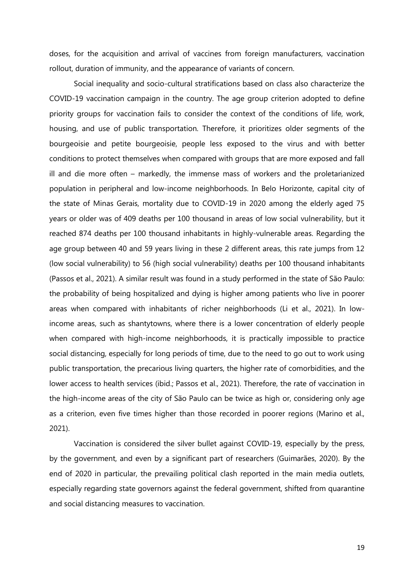doses, for the acquisition and arrival of vaccines from foreign manufacturers, vaccination rollout, duration of immunity, and the appearance of variants of concern.

Social inequality and socio-cultural stratifications based on class also characterize the COVID-19 vaccination campaign in the country. The age group criterion adopted to define priority groups for vaccination fails to consider the context of the conditions of life, work, housing, and use of public transportation. Therefore, it prioritizes older segments of the bourgeoisie and petite bourgeoisie, people less exposed to the virus and with better conditions to protect themselves when compared with groups that are more exposed and fall ill and die more often – markedly, the immense mass of workers and the proletarianized population in peripheral and low-income neighborhoods. In Belo Horizonte, capital city of the state of Minas Gerais, mortality due to COVID-19 in 2020 among the elderly aged 75 years or older was of 409 deaths per 100 thousand in areas of low social vulnerability, but it reached 874 deaths per 100 thousand inhabitants in highly-vulnerable areas. Regarding the age group between 40 and 59 years living in these 2 different areas, this rate jumps from 12 (low social vulnerability) to 56 (high social vulnerability) deaths per 100 thousand inhabitants (Passos et al., 2021). A similar result was found in a study performed in the state of São Paulo: the probability of being hospitalized and dying is higher among patients who live in poorer areas when compared with inhabitants of richer neighborhoods (Li et al., 2021). In lowincome areas, such as shantytowns, where there is a lower concentration of elderly people when compared with high-income neighborhoods, it is practically impossible to practice social distancing, especially for long periods of time, due to the need to go out to work using public transportation, the precarious living quarters, the higher rate of comorbidities, and the lower access to health services (ibid.; Passos et al., 2021). Therefore, the rate of vaccination in the high-income areas of the city of São Paulo can be twice as high or, considering only age as a criterion, even five times higher than those recorded in poorer regions (Marino et al., 2021).

Vaccination is considered the silver bullet against COVID-19, especially by the press, by the government, and even by a significant part of researchers (Guimarães, 2020). By the end of 2020 in particular, the prevailing political clash reported in the main media outlets, especially regarding state governors against the federal government, shifted from quarantine and social distancing measures to vaccination.

19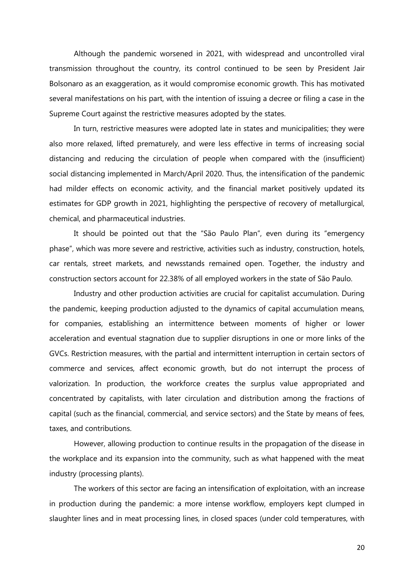Although the pandemic worsened in 2021, with widespread and uncontrolled viral transmission throughout the country, its control continued to be seen by President Jair Bolsonaro as an exaggeration, as it would compromise economic growth. This has motivated several manifestations on his part, with the intention of issuing a decree or filing a case in the Supreme Court against the restrictive measures adopted by the states.

In turn, restrictive measures were adopted late in states and municipalities; they were also more relaxed, lifted prematurely, and were less effective in terms of increasing social distancing and reducing the circulation of people when compared with the (insufficient) social distancing implemented in March/April 2020. Thus, the intensification of the pandemic had milder effects on economic activity, and the financial market positively updated its estimates for GDP growth in 2021, highlighting the perspective of recovery of metallurgical, chemical, and pharmaceutical industries.

It should be pointed out that the "São Paulo Plan", even during its "emergency phase", which was more severe and restrictive, activities such as industry, construction, hotels, car rentals, street markets, and newsstands remained open. Together, the industry and construction sectors account for 22.38% of all employed workers in the state of São Paulo.

Industry and other production activities are crucial for capitalist accumulation. During the pandemic, keeping production adjusted to the dynamics of capital accumulation means, for companies, establishing an intermittence between moments of higher or lower acceleration and eventual stagnation due to supplier disruptions in one or more links of the GVCs. Restriction measures, with the partial and intermittent interruption in certain sectors of commerce and services, affect economic growth, but do not interrupt the process of valorization. In production, the workforce creates the surplus value appropriated and concentrated by capitalists, with later circulation and distribution among the fractions of capital (such as the financial, commercial, and service sectors) and the State by means of fees, taxes, and contributions.

However, allowing production to continue results in the propagation of the disease in the workplace and its expansion into the community, such as what happened with the meat industry (processing plants).

The workers of this sector are facing an intensification of exploitation, with an increase in production during the pandemic: a more intense workflow, employers kept clumped in slaughter lines and in meat processing lines, in closed spaces (under cold temperatures, with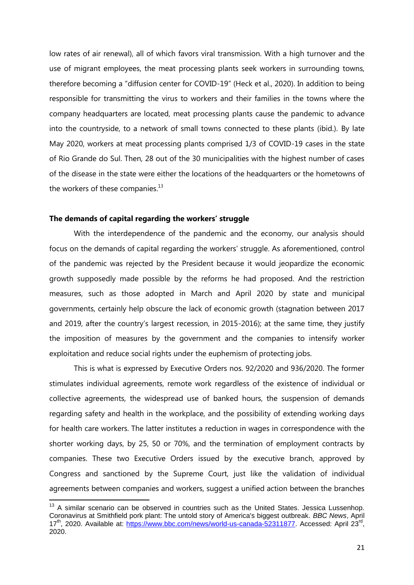low rates of air renewal), all of which favors viral transmission. With a high turnover and the use of migrant employees, the meat processing plants seek workers in surrounding towns, therefore becoming a "diffusion center for COVID-19" (Heck et al., 2020). In addition to being responsible for transmitting the virus to workers and their families in the towns where the company headquarters are located, meat processing plants cause the pandemic to advance into the countryside, to a network of small towns connected to these plants (ibid.). By late May 2020, workers at meat processing plants comprised 1/3 of COVID-19 cases in the state of Rio Grande do Sul. Then, 28 out of the 30 municipalities with the highest number of cases of the disease in the state were either the locations of the headquarters or the hometowns of the workers of these companies.<sup>13</sup>

# **The demands of capital regarding the workers' struggle**

 $\overline{\phantom{a}}$ 

With the interdependence of the pandemic and the economy, our analysis should focus on the demands of capital regarding the workers' struggle. As aforementioned, control of the pandemic was rejected by the President because it would jeopardize the economic growth supposedly made possible by the reforms he had proposed. And the restriction measures, such as those adopted in March and April 2020 by state and municipal governments, certainly help obscure the lack of economic growth (stagnation between 2017 and 2019, after the country's largest recession, in 2015-2016); at the same time, they justify the imposition of measures by the government and the companies to intensify worker exploitation and reduce social rights under the euphemism of protecting jobs.

This is what is expressed by Executive Orders nos. 92/2020 and 936/2020. The former stimulates individual agreements, remote work regardless of the existence of individual or collective agreements, the widespread use of banked hours, the suspension of demands regarding safety and health in the workplace, and the possibility of extending working days for health care workers. The latter institutes a reduction in wages in correspondence with the shorter working days, by 25, 50 or 70%, and the termination of employment contracts by companies. These two Executive Orders issued by the executive branch, approved by Congress and sanctioned by the Supreme Court, just like the validation of individual agreements between companies and workers, suggest a unified action between the branches

 $13$  A similar scenario can be observed in countries such as the United States. Jessica Lussenhop. Coronavirus at Smithfield pork plant: The untold story of America's biggest outbreak. *BBC News*, April 17<sup>th</sup>, 2020. Available at: https://www.bbc.com/news/world-us-canada-52311877. Accessed: April 23<sup>rd</sup>, 2020.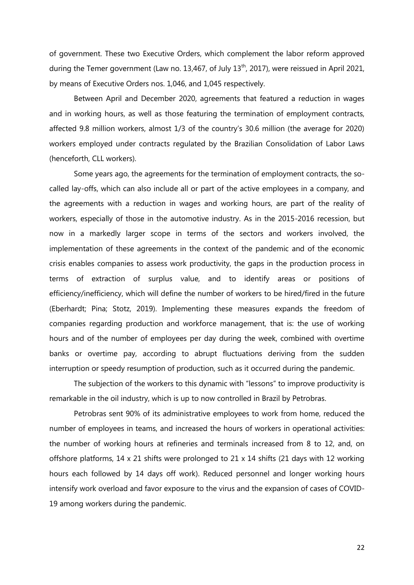of government. These two Executive Orders, which complement the labor reform approved during the Temer government (Law no. 13,467, of July 13<sup>th</sup>, 2017), were reissued in April 2021, by means of Executive Orders nos. 1,046, and 1,045 respectively.

Between April and December 2020, agreements that featured a reduction in wages and in working hours, as well as those featuring the termination of employment contracts, affected 9.8 million workers, almost 1/3 of the country's 30.6 million (the average for 2020) workers employed under contracts regulated by the Brazilian Consolidation of Labor Laws (henceforth, CLL workers).

Some years ago, the agreements for the termination of employment contracts, the socalled lay-offs, which can also include all or part of the active employees in a company, and the agreements with a reduction in wages and working hours, are part of the reality of workers, especially of those in the automotive industry. As in the 2015-2016 recession, but now in a markedly larger scope in terms of the sectors and workers involved, the implementation of these agreements in the context of the pandemic and of the economic crisis enables companies to assess work productivity, the gaps in the production process in terms of extraction of surplus value, and to identify areas or positions of efficiency/inefficiency, which will define the number of workers to be hired/fired in the future (Eberhardt; Pina; Stotz, 2019). Implementing these measures expands the freedom of companies regarding production and workforce management, that is: the use of working hours and of the number of employees per day during the week, combined with overtime banks or overtime pay, according to abrupt fluctuations deriving from the sudden interruption or speedy resumption of production, such as it occurred during the pandemic.

The subjection of the workers to this dynamic with "lessons" to improve productivity is remarkable in the oil industry, which is up to now controlled in Brazil by Petrobras.

Petrobras sent 90% of its administrative employees to work from home, reduced the number of employees in teams, and increased the hours of workers in operational activities: the number of working hours at refineries and terminals increased from 8 to 12, and, on offshore platforms, 14 x 21 shifts were prolonged to 21 x 14 shifts (21 days with 12 working hours each followed by 14 days off work). Reduced personnel and longer working hours intensify work overload and favor exposure to the virus and the expansion of cases of COVID-19 among workers during the pandemic.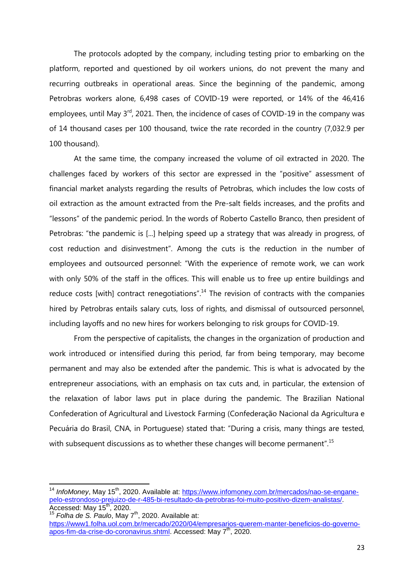The protocols adopted by the company, including testing prior to embarking on the platform, reported and questioned by oil workers unions, do not prevent the many and recurring outbreaks in operational areas. Since the beginning of the pandemic, among Petrobras workers alone, 6,498 cases of COVID-19 were reported, or 14% of the 46,416 employees, until May 3<sup>rd</sup>, 2021. Then, the incidence of cases of COVID-19 in the company was of 14 thousand cases per 100 thousand, twice the rate recorded in the country (7,032.9 per 100 thousand).

At the same time, the company increased the volume of oil extracted in 2020. The challenges faced by workers of this sector are expressed in the "positive" assessment of financial market analysts regarding the results of Petrobras, which includes the low costs of oil extraction as the amount extracted from the Pre-salt fields increases, and the profits and "lessons" of the pandemic period. In the words of Roberto Castello Branco, then president of Petrobras: "the pandemic is [...] helping speed up a strategy that was already in progress, of cost reduction and disinvestment". Among the cuts is the reduction in the number of employees and outsourced personnel: "With the experience of remote work, we can work with only 50% of the staff in the offices. This will enable us to free up entire buildings and reduce costs [with] contract renegotiations".<sup>14</sup> The revision of contracts with the companies hired by Petrobras entails salary cuts, loss of rights, and dismissal of outsourced personnel, including layoffs and no new hires for workers belonging to risk groups for COVID-19.

From the perspective of capitalists, the changes in the organization of production and work introduced or intensified during this period, far from being temporary, may become permanent and may also be extended after the pandemic. This is what is advocated by the entrepreneur associations, with an emphasis on tax cuts and, in particular, the extension of the relaxation of labor laws put in place during the pandemic. The Brazilian National Confederation of Agricultural and Livestock Farming (Confederação Nacional da Agricultura e Pecuária do Brasil, CNA, in Portuguese) stated that: "During a crisis, many things are tested, with subsequent discussions as to whether these changes will become permanent".<sup>15</sup>

 $\overline{a}$ 

<sup>&</sup>lt;sup>14</sup> InfoMoney, May 15<sup>th</sup>, 2020. Available at: [https://www.infomoney.com.br/mercados/nao-se-engane](https://www.infomoney.com.br/mercados/nao-se-engane-pelo-estrondoso-prejuizo-de-r-485-bi-resultado-da-petrobras-foi-muito-positivo-dizem-analistas/)[pelo-estrondoso-prejuizo-de-r-485-bi-resultado-da-petrobras-foi-muito-positivo-dizem-analistas/.](https://www.infomoney.com.br/mercados/nao-se-engane-pelo-estrondoso-prejuizo-de-r-485-bi-resultado-da-petrobras-foi-muito-positivo-dizem-analistas/) Accessed: May  $15^{th}$ , 2020.

<sup>15</sup> *Folha de S. Paulo*, May 7th, 2020. Available at: [https://www1.folha.uol.com.br/mercado/2020/04/empresarios-querem-manter-beneficios-do-governo](https://www1.folha.uol.com.br/mercado/2020/04/empresarios-querem-manter-beneficios-do-governo-apos-fim-da-crise-do-coronavirus.shtml)[apos-fim-da-crise-do-coronavirus.shtml.](https://www1.folha.uol.com.br/mercado/2020/04/empresarios-querem-manter-beneficios-do-governo-apos-fim-da-crise-do-coronavirus.shtml) Accessed: May 7<sup>th</sup>, 2020.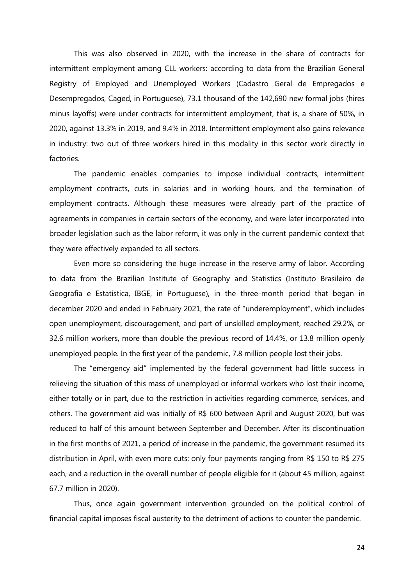This was also observed in 2020, with the increase in the share of contracts for intermittent employment among CLL workers: according to data from the Brazilian General Registry of Employed and Unemployed Workers (Cadastro Geral de Empregados e Desempregados, Caged, in Portuguese), 73.1 thousand of the 142,690 new formal jobs (hires minus layoffs) were under contracts for intermittent employment, that is, a share of 50%, in 2020, against 13.3% in 2019, and 9.4% in 2018. Intermittent employment also gains relevance in industry: two out of three workers hired in this modality in this sector work directly in factories.

The pandemic enables companies to impose individual contracts, intermittent employment contracts, cuts in salaries and in working hours, and the termination of employment contracts. Although these measures were already part of the practice of agreements in companies in certain sectors of the economy, and were later incorporated into broader legislation such as the labor reform, it was only in the current pandemic context that they were effectively expanded to all sectors.

Even more so considering the huge increase in the reserve army of labor. According to data from the Brazilian Institute of Geography and Statistics (Instituto Brasileiro de Geografia e Estatística, IBGE, in Portuguese), in the three-month period that began in december 2020 and ended in February 2021, the rate of "underemployment", which includes open unemployment, discouragement, and part of unskilled employment, reached 29.2%, or 32.6 million workers, more than double the previous record of 14.4%, or 13.8 million openly unemployed people. In the first year of the pandemic, 7.8 million people lost their jobs.

The "emergency aid" implemented by the federal government had little success in relieving the situation of this mass of unemployed or informal workers who lost their income, either totally or in part, due to the restriction in activities regarding commerce, services, and others. The government aid was initially of R\$ 600 between April and August 2020, but was reduced to half of this amount between September and December. After its discontinuation in the first months of 2021, a period of increase in the pandemic, the government resumed its distribution in April, with even more cuts: only four payments ranging from R\$ 150 to R\$ 275 each, and a reduction in the overall number of people eligible for it (about 45 million, against 67.7 million in 2020).

Thus, once again government intervention grounded on the political control of financial capital imposes fiscal austerity to the detriment of actions to counter the pandemic.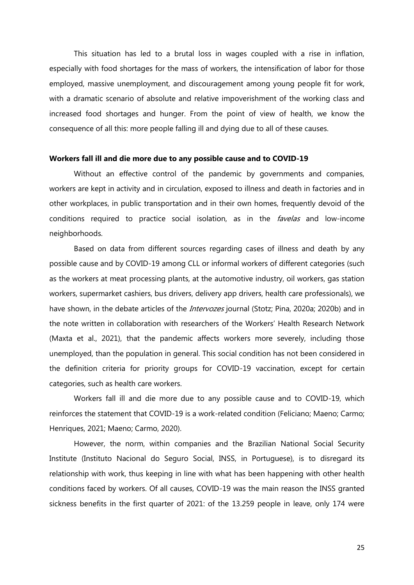This situation has led to a brutal loss in wages coupled with a rise in inflation, especially with food shortages for the mass of workers, the intensification of labor for those employed, massive unemployment, and discouragement among young people fit for work, with a dramatic scenario of absolute and relative impoverishment of the working class and increased food shortages and hunger. From the point of view of health, we know the consequence of all this: more people falling ill and dying due to all of these causes.

#### **Workers fall ill and die more due to any possible cause and to COVID-19**

Without an effective control of the pandemic by governments and companies, workers are kept in activity and in circulation, exposed to illness and death in factories and in other workplaces, in public transportation and in their own homes, frequently devoid of the conditions required to practice social isolation, as in the *favelas* and low-income neighborhoods.

Based on data from different sources regarding cases of illness and death by any possible cause and by COVID-19 among CLL or informal workers of different categories (such as the workers at meat processing plants, at the automotive industry, oil workers, gas station workers, supermarket cashiers, bus drivers, delivery app drivers, health care professionals), we have shown, in the debate articles of the *Intervozes* journal (Stotz; Pina, 2020a; 2020b) and in the note written in collaboration with researchers of the Workers' Health Research Network (Maxta et al., 2021), that the pandemic affects workers more severely, including those unemployed, than the population in general. This social condition has not been considered in the definition criteria for priority groups for COVID-19 vaccination, except for certain categories, such as health care workers.

Workers fall ill and die more due to any possible cause and to COVID-19, which reinforces the statement that COVID-19 is a work-related condition (Feliciano; Maeno; Carmo; Henriques, 2021; Maeno; Carmo, 2020).

However, the norm, within companies and the Brazilian National Social Security Institute (Instituto Nacional do Seguro Social, INSS, in Portuguese), is to disregard its relationship with work, thus keeping in line with what has been happening with other health conditions faced by workers. Of all causes, COVID-19 was the main reason the INSS granted sickness benefits in the first quarter of 2021: of the 13.259 people in leave, only 174 were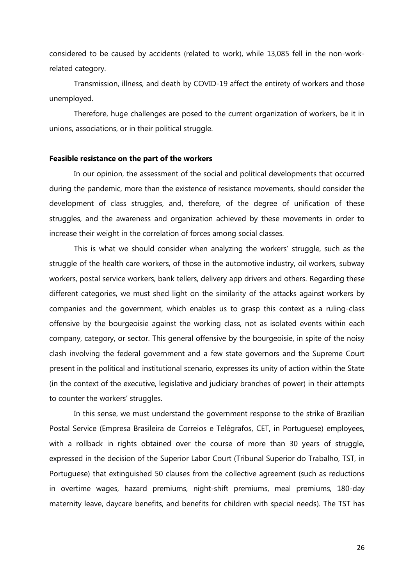considered to be caused by accidents (related to work), while 13,085 fell in the non-workrelated category.

Transmission, illness, and death by COVID-19 affect the entirety of workers and those unemployed.

Therefore, huge challenges are posed to the current organization of workers, be it in unions, associations, or in their political struggle.

#### **Feasible resistance on the part of the workers**

In our opinion, the assessment of the social and political developments that occurred during the pandemic, more than the existence of resistance movements, should consider the development of class struggles, and, therefore, of the degree of unification of these struggles, and the awareness and organization achieved by these movements in order to increase their weight in the correlation of forces among social classes.

This is what we should consider when analyzing the workers' struggle, such as the struggle of the health care workers, of those in the automotive industry, oil workers, subway workers, postal service workers, bank tellers, delivery app drivers and others. Regarding these different categories, we must shed light on the similarity of the attacks against workers by companies and the government, which enables us to grasp this context as a ruling-class offensive by the bourgeoisie against the working class, not as isolated events within each company, category, or sector. This general offensive by the bourgeoisie, in spite of the noisy clash involving the federal government and a few state governors and the Supreme Court present in the political and institutional scenario, expresses its unity of action within the State (in the context of the executive, legislative and judiciary branches of power) in their attempts to counter the workers' struggles.

In this sense, we must understand the government response to the strike of Brazilian Postal Service (Empresa Brasileira de Correios e Telégrafos, CET, in Portuguese) employees, with a rollback in rights obtained over the course of more than 30 years of struggle, expressed in the decision of the Superior Labor Court (Tribunal Superior do Trabalho, TST, in Portuguese) that extinguished 50 clauses from the collective agreement (such as reductions in overtime wages, hazard premiums, night-shift premiums, meal premiums, 180-day maternity leave, daycare benefits, and benefits for children with special needs). The TST has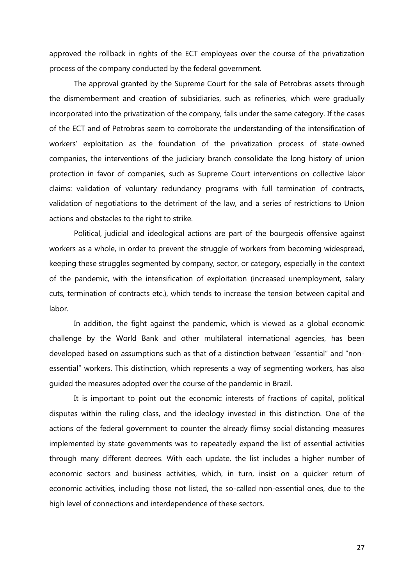approved the rollback in rights of the ECT employees over the course of the privatization process of the company conducted by the federal government.

The approval granted by the Supreme Court for the sale of Petrobras assets through the dismemberment and creation of subsidiaries, such as refineries, which were gradually incorporated into the privatization of the company, falls under the same category. If the cases of the ECT and of Petrobras seem to corroborate the understanding of the intensification of workers' exploitation as the foundation of the privatization process of state-owned companies, the interventions of the judiciary branch consolidate the long history of union protection in favor of companies, such as Supreme Court interventions on collective labor claims: validation of voluntary redundancy programs with full termination of contracts, validation of negotiations to the detriment of the law, and a series of restrictions to Union actions and obstacles to the right to strike.

Political, judicial and ideological actions are part of the bourgeois offensive against workers as a whole, in order to prevent the struggle of workers from becoming widespread, keeping these struggles segmented by company, sector, or category, especially in the context of the pandemic, with the intensification of exploitation (increased unemployment, salary cuts, termination of contracts etc.), which tends to increase the tension between capital and labor.

In addition, the fight against the pandemic, which is viewed as a global economic challenge by the World Bank and other multilateral international agencies, has been developed based on assumptions such as that of a distinction between "essential" and "nonessential" workers. This distinction, which represents a way of segmenting workers, has also guided the measures adopted over the course of the pandemic in Brazil.

It is important to point out the economic interests of fractions of capital, political disputes within the ruling class, and the ideology invested in this distinction. One of the actions of the federal government to counter the already flimsy social distancing measures implemented by state governments was to repeatedly expand the list of essential activities through many different decrees. With each update, the list includes a higher number of economic sectors and business activities, which, in turn, insist on a quicker return of economic activities, including those not listed, the so-called non-essential ones, due to the high level of connections and interdependence of these sectors.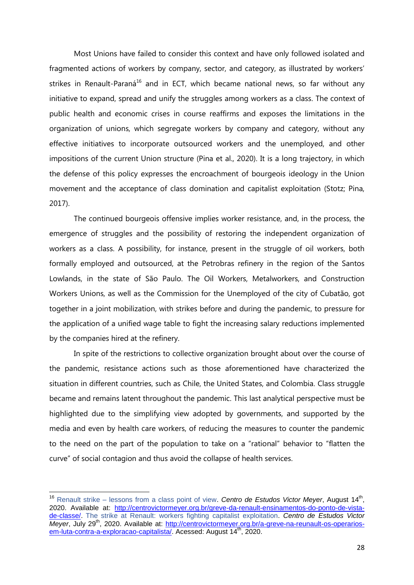Most Unions have failed to consider this context and have only followed isolated and fragmented actions of workers by company, sector, and category, as illustrated by workers' strikes in Renault-Paraná<sup>16</sup> and in ECT, which became national news, so far without any initiative to expand, spread and unify the struggles among workers as a class. The context of public health and economic crises in course reaffirms and exposes the limitations in the organization of unions, which segregate workers by company and category, without any effective initiatives to incorporate outsourced workers and the unemployed, and other impositions of the current Union structure (Pina et al., 2020). It is a long trajectory, in which the defense of this policy expresses the encroachment of bourgeois ideology in the Union movement and the acceptance of class domination and capitalist exploitation (Stotz; Pina, 2017).

The continued bourgeois offensive implies worker resistance, and, in the process, the emergence of struggles and the possibility of restoring the independent organization of workers as a class. A possibility, for instance, present in the struggle of oil workers, both formally employed and outsourced, at the Petrobras refinery in the region of the Santos Lowlands, in the state of São Paulo. The Oil Workers, Metalworkers, and Construction Workers Unions, as well as the Commission for the Unemployed of the city of Cubatão, got together in a joint mobilization, with strikes before and during the pandemic, to pressure for the application of a unified wage table to fight the increasing salary reductions implemented by the companies hired at the refinery.

In spite of the restrictions to collective organization brought about over the course of the pandemic, resistance actions such as those aforementioned have characterized the situation in different countries, such as Chile, the United States, and Colombia. Class struggle became and remains latent throughout the pandemic. This last analytical perspective must be highlighted due to the simplifying view adopted by governments, and supported by the media and even by health care workers, of reducing the measures to counter the pandemic to the need on the part of the population to take on a "rational" behavior to "flatten the curve" of social contagion and thus avoid the collapse of health services.

 $\overline{\phantom{a}}$ 

<sup>&</sup>lt;sup>16</sup> Renault strike – lessons from a class point of view. Centro de Estudos Victor Meyer, August 14<sup>th</sup>, 2020. Available at: [http://centrovictormeyer.org.br/greve-da-renault-ensinamentos-do-ponto-de-vista](http://centrovictormeyer.org.br/greve-da-renault-ensinamentos-do-ponto-de-vista-de-classe/)[de-classe/.](http://centrovictormeyer.org.br/greve-da-renault-ensinamentos-do-ponto-de-vista-de-classe/) The strike at Renault: workers fighting capitalist exploitation. *Centro de Estudos Victor Meyer*, July 29th, 2020. Available at: [http://centrovictormeyer.org.br/a-greve-na-reunault-os-operarios](http://centrovictormeyer.org.br/a-greve-na-reunault-os-operarios-em-luta-contra-a-exploracao-capitalista/)[em-luta-contra-a-exploracao-capitalista/.](http://centrovictormeyer.org.br/a-greve-na-reunault-os-operarios-em-luta-contra-a-exploracao-capitalista/) Acessed: August 14<sup>th</sup>, 2020.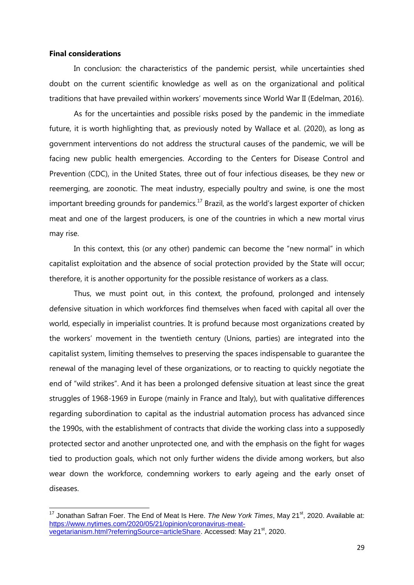# **Final considerations**

 $\overline{a}$ 

In conclusion: the characteristics of the pandemic persist, while uncertainties shed doubt on the current scientific knowledge as well as on the organizational and political traditions that have prevailed within workers' movements since World War II (Edelman, 2016).

As for the uncertainties and possible risks posed by the pandemic in the immediate future, it is worth highlighting that, as previously noted by Wallace et al. (2020), as long as government interventions do not address the structural causes of the pandemic, we will be facing new public health emergencies. According to the Centers for Disease Control and Prevention (CDC), in the United States, three out of four infectious diseases, be they new or reemerging, are zoonotic. The meat industry, especially poultry and swine, is one the most important breeding grounds for pandemics.<sup>17</sup> Brazil, as the world's largest exporter of chicken meat and one of the largest producers, is one of the countries in which a new mortal virus may rise.

In this context, this (or any other) pandemic can become the "new normal" in which capitalist exploitation and the absence of social protection provided by the State will occur; therefore, it is another opportunity for the possible resistance of workers as a class.

Thus, we must point out, in this context, the profound, prolonged and intensely defensive situation in which workforces find themselves when faced with capital all over the world, especially in imperialist countries. It is profund because most organizations created by the workers' movement in the twentieth century (Unions, parties) are integrated into the capitalist system, limiting themselves to preserving the spaces indispensable to guarantee the renewal of the managing level of these organizations, or to reacting to quickly negotiate the end of "wild strikes". And it has been a prolonged defensive situation at least since the great struggles of 1968-1969 in Europe (mainly in France and Italy), but with qualitative differences regarding subordination to capital as the industrial automation process has advanced since the 1990s, with the establishment of contracts that divide the working class into a supposedly protected sector and another unprotected one, and with the emphasis on the fight for wages tied to production goals, which not only further widens the divide among workers, but also wear down the workforce, condemning workers to early ageing and the early onset of diseases.

<sup>&</sup>lt;sup>17</sup> Jonathan Safran Foer. The End of Meat Is Here. *The New York Times*, May 21<sup>st</sup>, 2020. Available at: https://www.nytimes.com/2020/05/21/opinion/coronavirus-meatvegetarianism.html?referringSource=articleShare. Accessed: May 21<sup>st</sup>, 2020.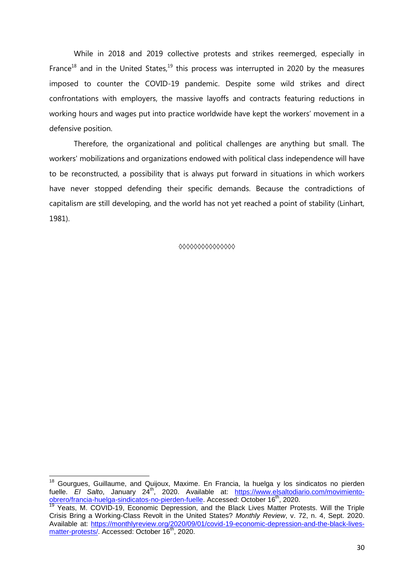While in 2018 and 2019 collective protests and strikes reemerged, especially in France<sup>18</sup> and in the United States,<sup>19</sup> this process was interrupted in 2020 by the measures imposed to counter the COVID-19 pandemic. Despite some wild strikes and direct confrontations with employers, the massive layoffs and contracts featuring reductions in working hours and wages put into practice worldwide have kept the workers' movement in a defensive position.

Therefore, the organizational and political challenges are anything but small. The workers' mobilizations and organizations endowed with political class independence will have to be reconstructed, a possibility that is always put forward in situations in which workers have never stopped defending their specific demands. Because the contradictions of capitalism are still developing, and the world has not yet reached a point of stability (Linhart, 1981).

**◊◊◊◊◊◊◊◊◊◊◊◊◊◊◊**

j

<sup>&</sup>lt;sup>18</sup> Gourgues, Guillaume, and Quijoux, Maxime. En Francia, la huelga y los sindicatos no pierden fuelle. *El Salto*, January 24<sup>th</sup>, 2020. Available at: https://www.elsaltodiario.com/movimientoobrero/francia-huelga-sindicatos-no-pierden-fuelle. Accessed: October 16<sup>th</sup>, 2020.

Yeats, M. COVID-19, Economic Depression, and the Black Lives Matter Protests. Will the Triple Crisis Bring a Working-Class Revolt in the United States? *Monthly Review*, v. 72, n. 4, Sept. 2020. Available at: https://monthlyreview.org/2020/09/01/covid-19-economic-depression-and-the-black-livesmatter-protests/. Accessed: October 16<sup>th</sup>, 2020.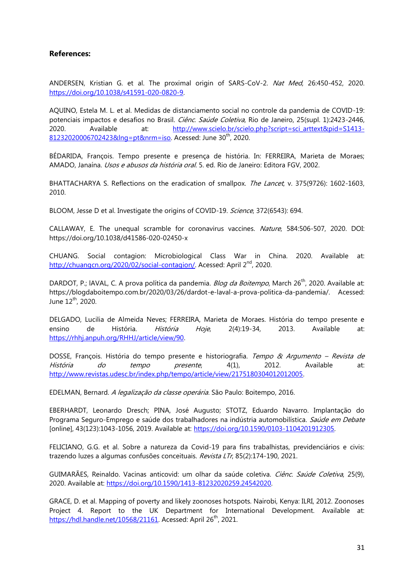# **References:**

ANDERSEN, Kristian G. et al. The proximal origin of SARS-CoV-2. Nat Med, 26:450-452, 2020. [https://doi.org/10.1038/s41591-020-0820-9.](https://doi.org/10.1038/s41591-020-0820-9) 

AQUINO, Estela M. L. et al. Medidas de distanciamento social no controle da pandemia de COVID-19: potenciais impactos e desafios no Brasil. Ciênc. Saúde Coletiva, Rio de Janeiro, 25(supl. 1):2423-2446, 2020. Available at: [http://www.scielo.br/scielo.php?script=sci\\_arttext&pid=S1413-](http://www.scielo.br/scielo.php?script=sci_arttext&pid=S1413-81232020006702423&lng=pt&nrm=iso) [81232020006702423&lng=pt&nrm=iso.](http://www.scielo.br/scielo.php?script=sci_arttext&pid=S1413-81232020006702423&lng=pt&nrm=iso) Acessed: June 30<sup>th</sup>, 2020.

BÉDARIDA, François. Tempo presente e presença de história. In: FERREIRA, Marieta de Moraes; AMADO, Janaína. Usos e abusos da história oral. 5. ed. Rio de Janeiro: Editora FGV, 2002.

BHATTACHARYA S. Reflections on the eradication of smallpox. *The Lancet, v.* 375(9726): 1602-1603. 2010.

BLOOM, Jesse D et al. Investigate the origins of COVID-19. Science, 372(6543): 694.

CALLAWAY, E. The unequal scramble for coronavirus vaccines. Nature, 584:506-507, 2020. DOI: https://doi.org/10.1038/d41586-020-02450-x

CHUANG. Social contagion: Microbiological Class War in China. 2020. Available at: [http://chuangcn.org/2020/02/social-contagion/.](http://chuangcn.org/2020/02/social-contagion/) Acessed: April 2<sup>nd</sup>, 2020.

DARDOT, P.; IAVAL, C. A prova política da pandemia. *Blog da Boitempo*, March 26<sup>th</sup>, 2020. Available at: https://blogdaboitempo.com.br/2020/03/26/dardot-e-laval-a-prova-politica-da-pandemia/. Acessed: June 12th, 2020.

DELGADO, Lucilia de Almeida Neves; FERREIRA, Marieta de Moraes. História do tempo presente e ensino de História. *História Hoje*, 2(4):19-34, 2013. Available at: [https://rhhj.anpuh.org/RHHJ/article/view/90.](https://rhhj.anpuh.org/RHHJ/article/view/90) 

DOSSE, François. História do tempo presente e historiografia. Tempo & Argumento - Revista de *História do tempo presente*, 4(1), 2012. Available at: [http://www.revistas.udesc.br/index.php/tempo/article/view/2175180304012012005.](http://www.revistas.udesc.br/index.php/tempo/article/view/2175180304012012005)

EDELMAN, Bernard. A legalização da classe operária. São Paulo: Boitempo, 2016.

EBERHARDT, Leonardo Dresch; PINA, José Augusto; STOTZ, Eduardo Navarro. Implantação do Programa Seguro-Emprego e saúde dos trabalhadores na indústria automobilística. Saúde em Debate [online], 43(123):1043-1056, 2019. Available at: [https://doi.org/10.1590/0103-1104201912305.](https://doi.org/10.1590/0103-1104201912305) 

FELICIANO, G.G. et al. Sobre a natureza da Covid-19 para fins trabalhistas, previdenciários e civis: trazendo luzes a algumas confusões conceituais. Revista LTr, 85(2):174-190, 2021.

GUIMARÃES, Reinaldo. Vacinas anticovid: um olhar da saúde coletiva. Ciênc. Saúde Coletiva, 25(9), 2020. Available at: [https://doi.org/10.1590/1413-81232020259.24542020.](https://doi.org/10.1590/1413-81232020259.24542020)

GRACE, D. et al. Mapping of poverty and likely zoonoses hotspots. Nairobi, Kenya: ILRI, 2012. Zoonoses Project 4. Report to the UK Department for International Development. Available at: [https://hdl.handle.net/10568/21161.](https://hdl.handle.net/10568/21161) Acessed: April 26<sup>th</sup>, 2021.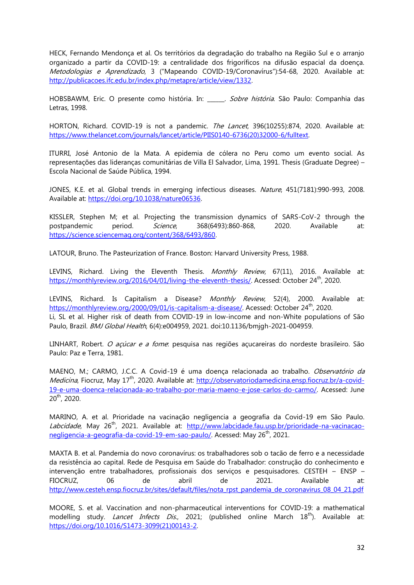HECK, Fernando Mendonça et al. Os territórios da degradação do trabalho na Região Sul e o arranjo organizado a partir da COVID-19: a centralidade dos frigoríficos na difusão espacial da doença. Metodologias e Aprendizado, 3 ("Mapeando COVID-19/Coronavírus"):54-68, 2020. Available at: [http://publicacoes.ifc.edu.br/index.php/metapre/article/view/1332.](http://publicacoes.ifc.edu.br/index.php/metapre/article/view/1332) 

HOBSBAWM, Eric. O presente como história. In: \_\_\_\_\_. Sobre história. São Paulo: Companhia das Letras, 1998.

HORTON, Richard. COVID-19 is not a pandemic. The Lancet, 396(10255):874, 2020. Available at: [https://www.thelancet.com/journals/lancet/article/PIIS0140-6736\(20\)32000-6/fulltext.](https://www.thelancet.com/journals/lancet/article/PIIS0140-6736(20)32000-6/fulltext) 

ITURRI, José Antonio de la Mata. A epidemia de cólera no Peru como um evento social. As representações das lideranças comunitárias de Villa El Salvador, Lima, 1991. Thesis (Graduate Degree) – Escola Nacional de Saúde Pública, 1994.

JONES, K.E. et al. Global trends in emerging infectious diseases. Nature, 451(7181):990-993, 2008. Available at: [https://doi.org/10.1038/nature06536.](https://doi.org/10.1038/nature06536) 

KISSLER, Stephen M; et al. Projecting the transmission dynamics of SARS-CoV-2 through the postpandemic period. Science, 368(6493):860-868, 2020. Available at: [https://science.sciencemag.org/content/368/6493/860.](https://science.sciencemag.org/content/368/6493/860)

LATOUR, Bruno. The Pasteurization of France. Boston: Harvard University Press, 1988.

LEVINS, Richard. Living the Eleventh Thesis. Monthly Review, 67(11), 2016. Available at: [https://monthlyreview.org/2016/04/01/living-the-eleventh-thesis/.](https://monthlyreview.org/2016/04/01/living-the-eleventh-thesis/) Acessed: October 24<sup>th</sup>, 2020.

LEVINS, Richard. Is Capitalism a Disease? Monthly Review, 52(4), 2000. Available at: [https://monthlyreview.org/2000/09/01/is-capitalism-a-disease/.](https://monthlyreview.org/2000/09/01/is-capitalism-a-disease/) Acessed: October 24<sup>th</sup>, 2020. Li, SL et al. Higher risk of death from COVID-19 in low-income and non-White populations of São Paulo, Brazil. *BMJ Global Health*, 6(4):e004959, 2021. doi:10.1136/bmigh-2021-004959.

LINHART, Robert. O açúcar e a fome: pesquisa nas regiões açucareiras do nordeste brasileiro. São Paulo: Paz e Terra, 1981.

MAENO, M.; CARMO, J.C.C. A Covid-19 é uma doença relacionada ao trabalho. Observatório da Medicina, Fiocruz, May 17<sup>th</sup>, 2020. Available at: [http://observatoriodamedicina.ensp.fiocruz.br/a-covid-](http://observatoriodamedicina.ensp.fiocruz.br/a-covid-19-e-uma-doenca-relacionada-ao-trabalho-por-maria-maeno-e-jose-carlos-do-carmo/)[19-e-uma-doenca-relacionada-ao-trabalho-por-maria-maeno-e-jose-carlos-do-carmo/.](http://observatoriodamedicina.ensp.fiocruz.br/a-covid-19-e-uma-doenca-relacionada-ao-trabalho-por-maria-maeno-e-jose-carlos-do-carmo/) Acessed: June 20th, 2020.

MARINO, A. et al. Prioridade na vacinação negligencia a geografia da Covid-19 em São Paulo. Labcidade, May 26<sup>th</sup>, 2021. Available at: [http://www.labcidade.fau.usp.br/prioridade-na-vacinacao](http://www.labcidade.fau.usp.br/prioridade-na-vacinacao-negligencia-a-geografia-da-covid-19-em-sao-paulo/)[negligencia-a-geografia-da-covid-19-em-sao-paulo/.](http://www.labcidade.fau.usp.br/prioridade-na-vacinacao-negligencia-a-geografia-da-covid-19-em-sao-paulo/) Acessed: May 26<sup>th</sup>, 2021.

MAXTA B. et al. Pandemia do novo coronavírus: os trabalhadores sob o tacão de ferro e a necessidade da resistência ao capital. Rede de Pesquisa em Saúde do Trabalhador: construção do conhecimento e intervenção entre trabalhadores, profissionais dos serviços e pesquisadores. CESTEH – ENSP – FIOCRUZ, 06 de abril de 2021. Available at: [http://www.cesteh.ensp.fiocruz.br/sites/default/files/nota\\_rpst\\_pandemia\\_de\\_coronavirus\\_08\\_04\\_21.pdf](http://www.cesteh.ensp.fiocruz.br/sites/default/files/nota_rpst_pandemia_de_coronavirus_08_04_21.pdf)

MOORE, S. et al. Vaccination and non-pharmaceutical interventions for COVID-19: a mathematical modelling study. *Lancet Infects Dis.*, 2021; (published online March 18<sup>th</sup>). Available at: [https://doi.org/10.1016/S1473-3099\(21\)00143-2.](https://doi.org/10.1016/S1473-3099(21)00143-2)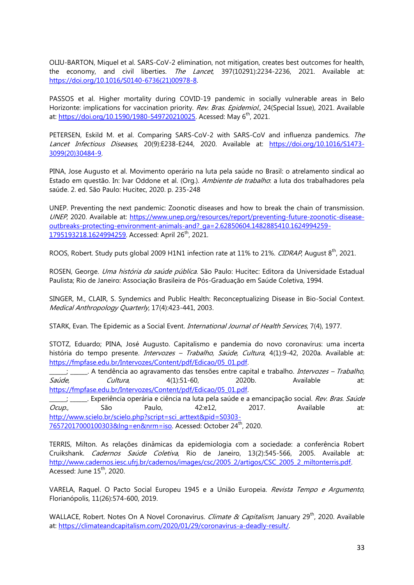OLIU-BARTON, Miquel et al. SARS-CoV-2 elimination, not mitigation, creates best outcomes for health, the economy, and civil liberties. The Lancet, 397(10291):2234-2236, 2021. Available at: [https://doi.org/10.1016/S0140-6736\(21\)00978-8.](https://doi.org/10.1016/S0140-6736(21)00978-8)

PASSOS et al. Higher mortality during COVID-19 pandemic in socially vulnerable areas in Belo Horizonte: implications for vaccination priority. Rev. Bras. Epidemiol., 24(Special Issue), 2021. Available at: [https://doi.org/10.1590/1980-549720210025.](https://doi.org/10.1590/1980-549720210025) Acessed: May 6<sup>th</sup>, 2021.

PETERSEN, Eskild M. et al. Comparing SARS-CoV-2 with SARS-CoV and influenza pandemics. The Lancet Infectious Diseases, 20(9):E238-E244, 2020. Available at: [https://doi.org/10.1016/S1473-](https://doi.org/10.1016/S1473-3099(20)30484-9) [3099\(20\)30484-9.](https://doi.org/10.1016/S1473-3099(20)30484-9)

PINA, Jose Augusto et al. Movimento operário na luta pela saúde no Brasil: o atrelamento sindical ao Estado em questão. In: Ivar Oddone et al. (Org.). Ambiente de trabalho: a luta dos trabalhadores pela saúde. 2. ed. São Paulo: Hucitec, 2020. p. 235-248

UNEP. Preventing the next pandemic: Zoonotic diseases and how to break the chain of transmission. UNEP, 2020. Available at: [https://www.unep.org/resources/report/preventing-future-zoonotic-disease](https://www.unep.org/resources/report/preventing-future-zoonotic-disease-outbreaks-protecting-environment-animals-and?_ga=2.62850604.1482885410.1624994259-1795193218.1624994259)[outbreaks-protecting-environment-animals-and?\\_ga=2.62850604.1482885410.1624994259-](https://www.unep.org/resources/report/preventing-future-zoonotic-disease-outbreaks-protecting-environment-animals-and?_ga=2.62850604.1482885410.1624994259-1795193218.1624994259) [1795193218.1624994259.](https://www.unep.org/resources/report/preventing-future-zoonotic-disease-outbreaks-protecting-environment-animals-and?_ga=2.62850604.1482885410.1624994259-1795193218.1624994259) Accessed: April 26<sup>th</sup>, 2021.

ROOS, Robert. Study puts global 2009 H1N1 infection rate at 11% to 21%. CIDRAP, August 8<sup>th</sup>, 2021.

ROSEN, George. Uma história da saúde pública. São Paulo: Hucitec: Editora da Universidade Estadual Paulista; Rio de Janeiro: Associação Brasileira de Pós-Graduação em Saúde Coletiva, 1994.

SINGER, M., CLAIR, S. Syndemics and Public Health: Reconceptualizing Disease in Bio-Social Context. Medical Anthropology Quarterly, 17(4):423-441, 2003.

STARK, Evan. The Epidemic as a Social Event. *International Journal of Health Services*, 7(4), 1977.

STOTZ, Eduardo; PINA, José Augusto. Capitalismo e pandemia do novo coronavírus: uma incerta história do tempo presente. *Intervozes - Trabalho, Saúde, Cultura*, 4(1):9-42, 2020a. Available at: [https://fmpfase.edu.br/Intervozes/Content/pdf/Edicao/05\\_01.pdf.](https://fmpfase.edu.br/Intervozes/Content/pdf/Edicao/05_01.pdf) 

j \_\_\_\_\_\_. A tendência ao agravamento das tensões entre capital e trabalho. *Intervozes – Trabalho*, Saúde, Cultura, 4(1):51-60, 2020b. Available at: [https://fmpfase.edu.br/Intervozes/Content/pdf/Edicao/05\\_01.pdf.](https://fmpfase.edu.br/Intervozes/Content/pdf/Edicao/05_01.pdf)

\_\_\_\_; \_\_\_\_\_\_. Experiência operária e ciência na luta pela saúde e a emancipação social. *Rev. Bras. Saúde* Ocup., São Paulo, 42:e12, 2017. Available at: [http://www.scielo.br/scielo.php?script=sci\\_arttext&pid=S0303-](http://www.scielo.br/scielo.php?script=sci_arttext&pid=S0303-76572017000100303&lng=en&nrm=iso) [76572017000100303&lng=en&nrm=iso.](http://www.scielo.br/scielo.php?script=sci_arttext&pid=S0303-76572017000100303&lng=en&nrm=iso) Acessed: October 24<sup>th</sup>, 2020.

TERRIS, Milton. As relações dinâmicas da epidemiologia com a sociedade: a conferência Robert Cruikshank. Cadernos Saúde Coletiva, Rio de Janeiro, 13(2):545-566, 2005. Available at: [http://www.cadernos.iesc.ufrj.br/cadernos/images/csc/2005\\_2/artigos/CSC\\_2005\\_2\\_miltonterris.pdf.](http://www.cadernos.iesc.ufrj.br/cadernos/images/csc/2005_2/artigos/CSC_2005_2_miltonterris.pdf) Acessed: June 15<sup>th</sup>, 2020.

VARELA, Raquel. O Pacto Social Europeu 1945 e a União Europeia. Revista Tempo e Argumento, Florianópolis, 11(26):574-600, 2019.

WALLACE, Robert. Notes On A Novel Coronavirus. *Climate & Capitalism*, January 29<sup>th</sup>, 2020. Available at: [https://climateandcapitalism.com/2020/01/29/coronavirus-a-deadly-result/.](https://climateandcapitalism.com/2020/01/29/coronavirus-a-deadly-result/)